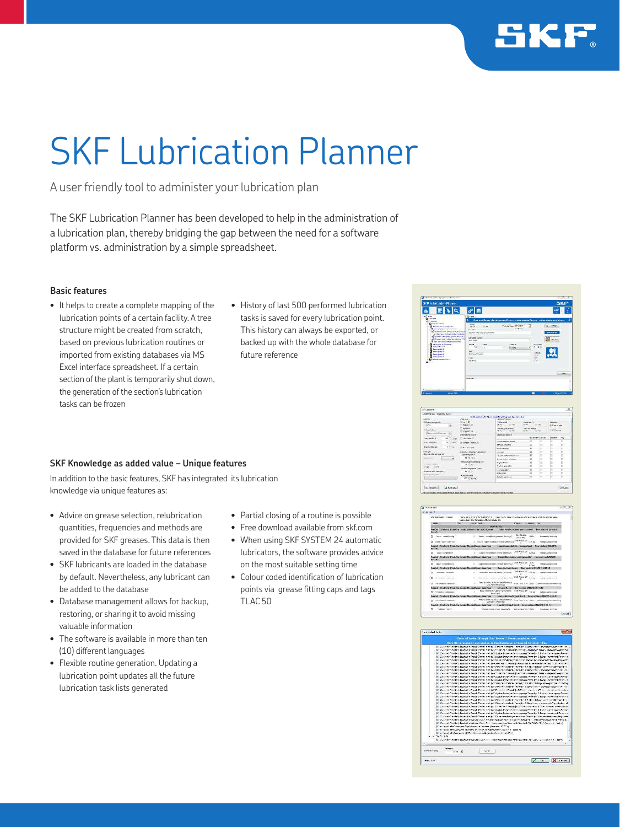

# SKF Lubrication Planner

A user friendly tool to administer your lubrication plan

The SKF Lubrication Planner has been developed to help in the administration of a lubrication plan, thereby bridging the gap between the need for a software platform vs. administration by a simple spreadsheet.

#### **Basic features**

- It helps to create a complete mapping of the lubrication points of a certain facility. A tree structure might be created from scratch, based on previous lubrication routines or imported from existing databases via MS Excel interface spreadsheet. If a certain section of the plant is temporarily shut down, the generation of the section's lubrication tasks can be frozen
- History of last 500 performed lubrication tasks is saved for every lubrication point. This history can always be exported, or backed up with the whole database for future reference

### **SKF Knowledge as added value – Unique features**

In addition to the basic features, SKF has integrated its lubrication knowledge via unique features as:

- Advice on grease selection, relubrication quantities, frequencies and methods are provided for SKF greases. This data is then saved in the database for future references
- SKF lubricants are loaded in the database by default. Nevertheless, any lubricant can be added to the database
- Database management allows for backup, restoring, or sharing it to avoid missing valuable information
- The software is available in more than ten (10) different languages
- Flexible routine generation. Updating a lubrication point updates all the future lubrication task lists generated
- Partial closing of a routine is possible
- Free download available from skf.com
- When using SKF SYSTEM 24 automatic lubricators, the software provides advice on the most suitable setting time
- Colour coded identification of lubrication points via grease fitting caps and tags TLAC 50



| <b>NETS PUT CONTRACTOR</b>                                                                                                                                                                | Library Hyankin                                                                        |                                                     |            |                         |                                                  |
|-------------------------------------------------------------------------------------------------------------------------------------------------------------------------------------------|----------------------------------------------------------------------------------------|-----------------------------------------------------|------------|-------------------------|--------------------------------------------------|
| Channel Mill<br>7 Robert Life<br><b>Chemistra</b><br>Warrentee Links                                                                                                                      | <b>Lighter short</b><br><b>BAC</b><br>Listence Steam<br>COME.<br>When I                | --<br><b>In addition Party</b><br><b>WITH SALES</b> |            | Vibrator                |                                                  |
| indeed between your C.                                                                                                                                                                    | Calved by Alane &                                                                      |                                                     |            |                         |                                                  |
| The American Ave.                                                                                                                                                                         |                                                                                        |                                                     |            |                         | 79V                                              |
|                                                                                                                                                                                           | Lady's Leanage Artist                                                                  | $\overline{\mathscr{R}}$                            | п          |                         | $\overline{\phantom{1}}$                         |
|                                                                                                                                                                                           | <b>BAY BAA VISITING</b>                                                                | $\alpha$                                            |            |                         | E                                                |
|                                                                                                                                                                                           | eneigency                                                                              |                                                     |            |                         | и<br>n                                           |
| hearch.<br>Custom American manager<br>Sale have the first year of<br>Company in the<br>15-26 KGH<br><b>Greenland</b><br>a.<br>٠<br>Molecular Second House India (1977)<br>FWA PROVISION 1 | <b>JOHNMAN J. PARTLE</b>                                                               |                                                     | Ħ          | n                       | ш                                                |
|                                                                                                                                                                                           | <b>Civil on meteorology and</b>                                                        |                                                     | в          | 'n                      | E.                                               |
|                                                                                                                                                                                           | <b>EVALUATION IN ABOUT</b>                                                             | ×                                                   | b          |                         | m                                                |
|                                                                                                                                                                                           | ACCOMMENTATION                                                                         | ×                                                   |            | m                       | ×                                                |
|                                                                                                                                                                                           | Wyth comes for                                                                         |                                                     | ä          | ×                       | E                                                |
| <b>The State</b><br><b>Class</b><br>an one art the con-<br>Dideshirat site controls were<br>attenting promipredictal (2)<br><b>KODAR GHAL</b><br>×.<br><b>BOY'S CAY</b>                   | Foot considers                                                                         |                                                     | Ħ          |                         | 'n                                               |
|                                                                                                                                                                                           | <b>NAVOE</b>                                                                           |                                                     | н          |                         | 'n                                               |
|                                                                                                                                                                                           | <b>Bandor excitorio</b><br>website contribution                                        |                                                     |            |                         | 'n                                               |
|                                                                                                                                                                                           | Women colorado<br>dietaren.<br>or Miner<br><b>Administration demanded in Constitu-</b> |                                                     | BL/WV<br>- | Altre Constitution<br>ë | III Fan Event<br>N<br>94 years (Guine, Classica) |